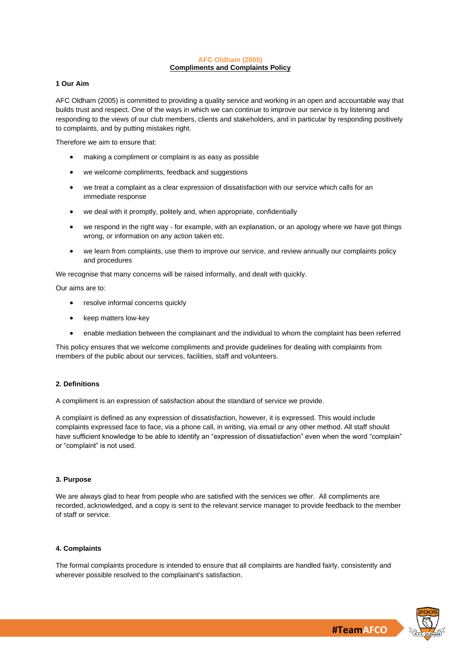#### **AFC Oldham (2005) Compliments and Complaints Policy**

#### **1 Our Aim**

AFC Oldham (2005) is committed to providing a quality service and working in an open and accountable way that builds trust and respect. One of the ways in which we can continue to improve our service is by listening and responding to the views of our club members, clients and stakeholders, and in particular by responding positively to complaints, and by putting mistakes right.

Therefore we aim to ensure that:

- making a compliment or complaint is as easy as possible
- we welcome compliments, feedback and suggestions
- we treat a complaint as a clear expression of dissatisfaction with our service which calls for an immediate response
- we deal with it promptly, politely and, when appropriate, confidentially
- we respond in the right way for example, with an explanation, or an apology where we have got things wrong, or information on any action taken etc.
- we learn from complaints, use them to improve our service, and review annually our complaints policy and procedures

We recognise that many concerns will be raised informally, and dealt with quickly.

Our aims are to:

- resolve informal concerns quickly
- keep matters low-key
- enable mediation between the complainant and the individual to whom the complaint has been referred

This policy ensures that we welcome compliments and provide guidelines for dealing with complaints from members of the public about our services, facilities, staff and volunteers.

# **2. Definitions**

A compliment is an expression of satisfaction about the standard of service we provide.

A complaint is defined as any expression of dissatisfaction, however, it is expressed. This would include complaints expressed face to face, via a phone call, in writing, via email or any other method. All staff should have sufficient knowledge to be able to identify an "expression of dissatisfaction" even when the word "complain" or "complaint" is not used.

#### **3. Purpose**

We are always glad to hear from people who are satisfied with the services we offer. All compliments are recorded, acknowledged, and a copy is sent to the relevant service manager to provide feedback to the member of staff or service.

#### **4. Complaints**

The formal complaints procedure is intended to ensure that all complaints are handled fairly, consistently and wherever possible resolved to the complainant's satisfaction.

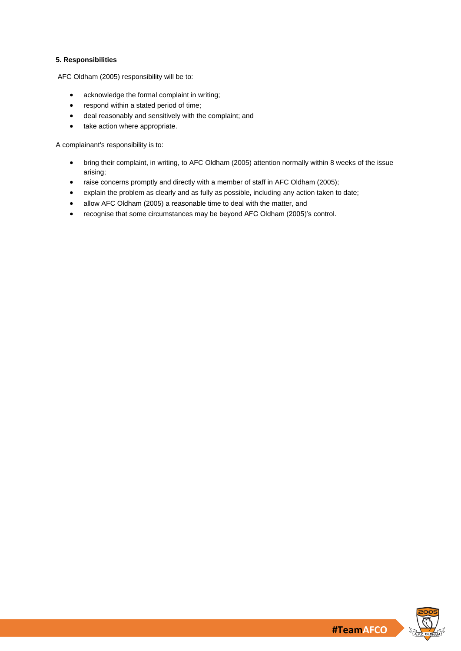# **5. Responsibilities**

AFC Oldham (2005) responsibility will be to:

- acknowledge the formal complaint in writing;
- respond within a stated period of time;
- deal reasonably and sensitively with the complaint; and
- take action where appropriate.

A complainant's responsibility is to:

- bring their complaint, in writing, to AFC Oldham (2005) attention normally within 8 weeks of the issue arising;
- raise concerns promptly and directly with a member of staff in AFC Oldham (2005);
- explain the problem as clearly and as fully as possible, including any action taken to date;
- allow AFC Oldham (2005) a reasonable time to deal with the matter, and
- recognise that some circumstances may be beyond AFC Oldham (2005)'s control.

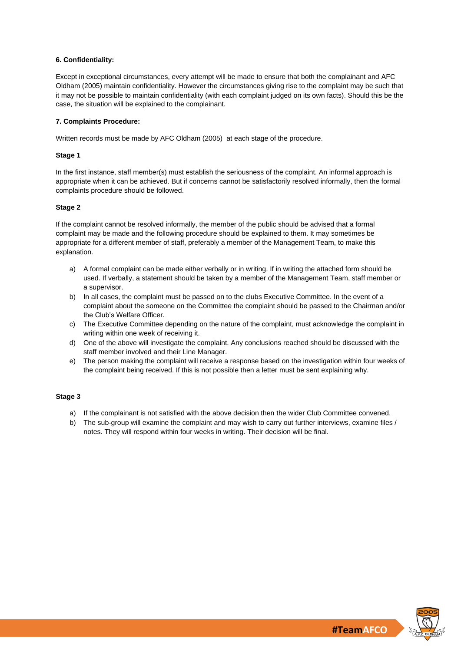# **6. Confidentiality:**

Except in exceptional circumstances, every attempt will be made to ensure that both the complainant and AFC Oldham (2005) maintain confidentiality. However the circumstances giving rise to the complaint may be such that it may not be possible to maintain confidentiality (with each complaint judged on its own facts). Should this be the case, the situation will be explained to the complainant.

# **7. Complaints Procedure:**

Written records must be made by AFC Oldham (2005) at each stage of the procedure.

# **Stage 1**

In the first instance, staff member(s) must establish the seriousness of the complaint. An informal approach is appropriate when it can be achieved. But if concerns cannot be satisfactorily resolved informally, then the formal complaints procedure should be followed.

# **Stage 2**

If the complaint cannot be resolved informally, the member of the public should be advised that a formal complaint may be made and the following procedure should be explained to them. It may sometimes be appropriate for a different member of staff, preferably a member of the Management Team, to make this explanation.

- a) A formal complaint can be made either verbally or in writing. If in writing the attached form should be used. If verbally, a statement should be taken by a member of the Management Team, staff member or a supervisor.
- b) In all cases, the complaint must be passed on to the clubs Executive Committee. In the event of a complaint about the someone on the Committee the complaint should be passed to the Chairman and/or the Club's Welfare Officer.
- c) The Executive Committee depending on the nature of the complaint, must acknowledge the complaint in writing within one week of receiving it.
- d) One of the above will investigate the complaint. Any conclusions reached should be discussed with the staff member involved and their Line Manager.
- e) The person making the complaint will receive a response based on the investigation within four weeks of the complaint being received. If this is not possible then a letter must be sent explaining why.

# **Stage 3**

- a) If the complainant is not satisfied with the above decision then the wider Club Committee convened.
- b) The sub-group will examine the complaint and may wish to carry out further interviews, examine files / notes. They will respond within four weeks in writing. Their decision will be final.